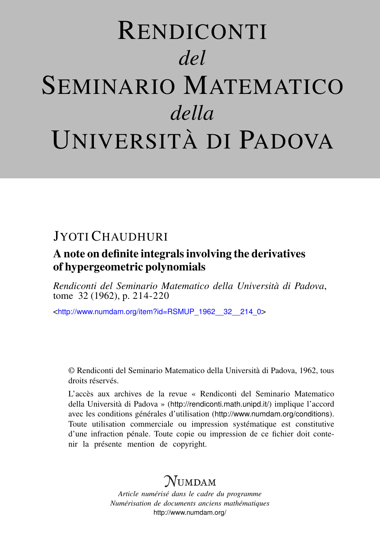# RENDICONTI *del* SEMINARIO MATEMATICO *della* UNIVERSITÀ DI PADOVA

## JYOTI CHAUDHURI

### A note on definite integrals involving the derivatives of hypergeometric polynomials

*Rendiconti del Seminario Matematico della Università di Padova*, tome 32 (1962), p. 214-220

<[http://www.numdam.org/item?id=RSMUP\\_1962\\_\\_32\\_\\_214\\_0](http://www.numdam.org/item?id=RSMUP_1962__32__214_0)>

© Rendiconti del Seminario Matematico della Università di Padova, 1962, tous droits réservés.

L'accès aux archives de la revue « Rendiconti del Seminario Matematico della Università di Padova » (<http://rendiconti.math.unipd.it/>) implique l'accord avec les conditions générales d'utilisation (<http://www.numdam.org/conditions>). Toute utilisation commerciale ou impression systématique est constitutive d'une infraction pénale. Toute copie ou impression de ce fichier doit contenir la présente mention de copyright.

# $\mathcal{N}$ umdam

*Article numérisé dans le cadre du programme Numérisation de documents anciens mathématiques* <http://www.numdam.org/>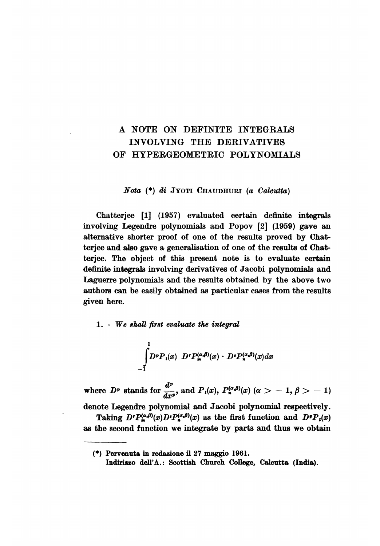#### A NOTE ON DEFINITE INTEGRALS INVOLVING THE DERIVATIVES OF HYPERGEOMETRIC POLYNOMIALS

Nota (\*) di JYOTI CHAUDHURI (a Calcutta)

Chatterjee [1] (1957) evaluated certain definite integrals involving Legendre polynomials and Popov [2] (1959) gave an alternative shorter proof of one of the results proved by Chatterjee and also gave a generalisation of one of the results of Chatterjee. The object of this present note is to evaluate certain definite integrals involving derivatives of Jacobi polynomials and Laguerre polynomials and the results obtained by the above two authors can be easily obtained as particular cases from the results given here.

1. - We shall first evaluate the integral

$$
\int_{-1}^{1} D^p P_i(x) \cdot D^r P_{\mathbf{m}}^{(\alpha,\beta)}(x) \cdot D^s P_{\mathbf{m}}^{(\alpha,\beta)}(x) dx
$$

where  $D^p$  stands for  $\frac{d^p}{dx^p}$ , and  $P_i(x)$ ,  $P_n^{(\alpha,\beta)}(x)$   $(\alpha > -1, \beta > -1)$ 

denote Legendre polynomial and Jacobi polynomial respectively.

Taking  $D^r P_{\bullet}^{(\alpha,\beta)}(x) D^r P_{\bullet}^{(\alpha,\beta)}(x)$  as the first function and  $D^p P_i(x)$ as the second function we integrate by parts and thus we obtain

<sup>(\*)</sup> Pervenuta in redazione il 27 maggio 1961.

Indirizzo dell'A.: Scottish Church College, Calcutta (India).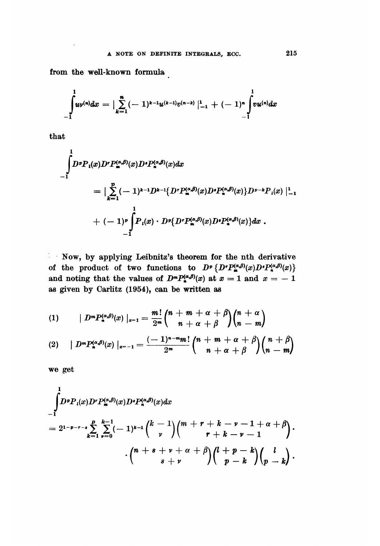from the well-known formula

$$
\int_{-1}^1 u^{(n)} dx = \big| \sum_{k=1}^n (-1)^{k-1} u^{(k-1)} v^{(n-k)} \big|_{-1}^1 + (-1)^n \int_{-1}^1 v u^{(n)} dx
$$

that

$$
\int_{-1}^{1} D^{p} P_{i}(x) D^{r} P_{m}^{(\alpha,\beta)}(x) D^{s} P_{n}^{(\alpha,\beta)}(x) dx
$$
\n
$$
= \Big| \sum_{k=1}^{p} (-1)^{k-1} D^{k-1} \{ D^{r} P_{m}^{(\alpha,\beta)}(x) D^{s} P_{n}^{(\alpha,\beta)}(x) \} D^{p-k} P_{i}(x) \Big|_{-1}^{1}
$$
\n
$$
+ (-1)^{p} \int_{-1}^{1} P_{i}(x) \cdot D^{s} \{ D^{r} P_{m}^{(\alpha,\beta)}(x) D^{s} P_{n}^{(\alpha,\beta)}(x) \} dx.
$$

: . Now, by applying Leibnitz's theorem for the nth derivative of the product of two functions to  $D^p\{D^rP^{(\alpha,\beta)}_{\pi}(x)D^sP^{(\alpha,\beta)}_{\pi}(x)\}$ and noting that the values of  $D^m P_n^{(\alpha,\beta)}(x)$  at  $x = 1$  and  $x = -1$ as given by Carlitz (1954), can be written as

(1) 
$$
|D^m P_n^{(\alpha,\beta)}(x)|_{x=1} = \frac{m!}{2^m} {n+m+\alpha+\beta \choose n+\alpha+\beta} {n+\alpha \choose n-m}
$$

$$
(2) \qquad \big| D^m P_n^{(\alpha,\beta)}(x) \big|_{x=-1} = \frac{(-1)^{n-m} m!}{2^m} {n+m+\alpha+\beta \choose n+\alpha+\beta}{n+\beta \choose n-m}
$$

we get

$$
\int_{-1}^{1} D^p P_i(x) D^r P_m^{(\alpha,\beta)}(x) D^s P_n^{(\alpha,\beta)}(x) dx
$$
\n
$$
= 2^{1-p-r-s} \sum_{k=1}^{p} \sum_{r=0}^{k-1} (-1)^{k-1} {k-1 \choose r} {m+r+k-r-1+\alpha+\beta \choose r+k-r-1} \cdot {n+s+r+\alpha+\beta \choose s+r} {l+p-k \choose p-k}.
$$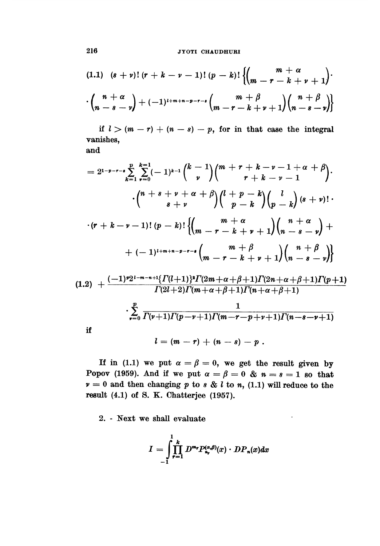**JYOTI CHAUDHURI** 

$$
(1.1) \quad (s + \nu)! \ (r + k - \nu - 1)! \ (p - k)! \left\{ \begin{pmatrix} m + \alpha \\ m - r - k + \nu + 1 \end{pmatrix} \cdot \begin{pmatrix} \frac{m + \alpha}{m - s - \nu} + (-1)^{1 + m + n - p - r - s} \binom{m + \beta}{m - r - k + \nu + 1} \binom{n + \beta}{n - s - \nu} \end{pmatrix} \right\}
$$

if  $l > (m - r) + (n - s) - p$ , for in that case the integral vanishes, and

$$
= 2^{1-p-r-s}\sum_{k=1}^{p} \sum_{\nu=0}^{k-1}(-1)^{k-1}\binom{k-1}{\nu}\binom{m+r+k-\nu-1+\alpha+\beta}{r+k-\nu-1}\cdot \binom{n+s+\nu+\alpha+\beta}{s+\nu}\binom{l+p-k}{p-k}\binom{l}{p-k}\left(s+\nu\right) \cdot \binom{r+k-\nu-1}{r-k} \cdot \binom{m+\alpha}{m-r-k+\nu+1}\binom{n+\alpha}{m-s-\nu} + \binom{m+\beta}{m-r-k+\nu+1}\binom{n+\beta}{n-s-\nu}
$$
\n
$$
(1.2) + \frac{(-1)^{p}2^{1-m-n+1}\left\{\Gamma(\nu+1)\right\}^{s}\Gamma(2m+\alpha+\beta+1)\Gamma(2n+\alpha+\beta+1)\Gamma(p+1)}{\Gamma(2l+2)\Gamma(m+\alpha+\beta+1)\Gamma(n+\alpha+\beta+1)}
$$

$$
\sum_{r=0}^{p} \frac{1}{\Gamma(\nu+1)\Gamma(p-\nu+1)\Gamma(m-r-p+\nu+1)\Gamma(n-s-\nu+1)}
$$

$$
l=(m-r)+(n-s)-p.
$$

If in (1.1) we put  $\alpha = \beta = 0$ , we get the result given by Popov (1959). And if we put  $\alpha = \beta = 0$  &  $n = s = 1$  so that  $v = 0$  and then changing p to s & l to n, (1.1) will reduce to the result (4.1) of S. K. Chatterjee (1957).

2. - Next we shall evaluate

$$
I=\int_{-1}^1\prod_{r=1}^k D^{m_r}P_{n_r}^{(\alpha,\beta)}(x)\cdot DP_n(x)dx
$$

216

 $\mathbf{if}% \begin{bmatrix} \left| \mathbf{r}^{\prime } \right| & \left| \mathbf{r}^{\prime } \right| & \left| \mathbf{r}^{\prime } \right| \leq \left| \mathbf{r}^{\prime } \right| \leq \left| \mathbf{r}^{\prime } \right| \leq \left| \mathbf{r}^{\prime } \right| \leq \left| \mathbf{r}^{\prime } \right| \leq \left| \mathbf{r}^{\prime } \right| \leq \left| \mathbf{r}^{\prime } \right| \leq \left| \mathbf{r}^{\prime } \right| \leq \left| \mathbf{r}^{\prime } \right| \leq \left|$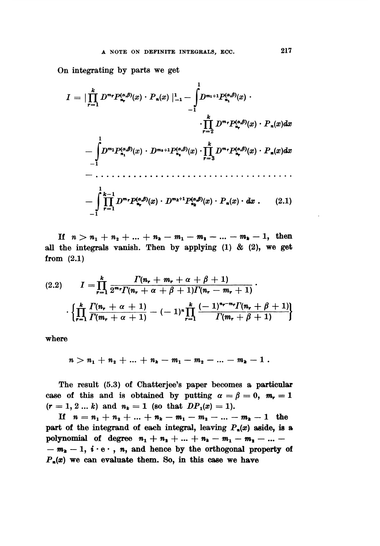On integrating by parts we get

If  $n > n_1 + n_2 + ... + n_k - m_1 - m_2 - ... - m_k - 1$ , then all the integrals vanish. Then by applying  $(1)$  &  $(2)$ , we get from (2.1)

$$
(2.2) \qquad I = \prod_{r=1}^{k} \frac{\Gamma(n_r + m_r + \alpha + \beta + 1)}{2^{m_r} \Gamma(n_r + \alpha + \beta + 1) \Gamma(n_r - m_r + 1)} \cdot \left\{ \prod_{r=1}^{k} \frac{\Gamma(n_r + \alpha + 1)}{\Gamma(m_r + \alpha + 1)} - (-1)^n \prod_{r=1}^{k} \frac{(-1)^{n_r - m_r} \Gamma(n_r + \beta + 1)}{\Gamma(m_r + \beta + 1)} \right\}
$$

where

$$
n > n_1 + n_2 + \ldots + n_k - m_1 - m_2 - \ldots - m_k - 1
$$

The result (5.3) of Chatterjee's paper becomes a particular case of this and is obtained by putting  $\alpha = \beta = 0$ ,  $m_r = 1$  $(r = 1, 2 ... k)$  and  $n_k = 1$  (so that  $DP_1(x) = 1$ ).

If  $n = n_1 + n_2 + ... + n_k - m_1 - m_2 - ... - m_k - 1$  the part of the integrand of each integral, leaving  $P_*(x)$  aside, is a polynomial of degree  $n_1 + n_2 + ... + n_k - m_1 - m_2 - ...$  $-m_k - 1$ ,  $i \cdot e \cdot$ , n, and hence by the orthogonal property of  $P_n(x)$  we can evaluate them. So, in this case we have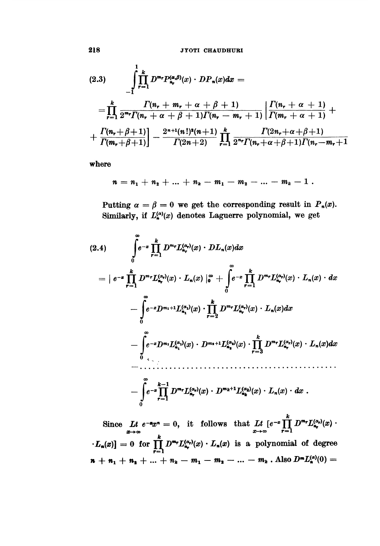$$
(2.3) \qquad \int_{-1}^{1} \prod_{r=1}^{k} D^{m_{r}} P_{n_{r}}^{(\alpha,\beta)}(x) \cdot DP_{n}(x) dx =
$$
\n
$$
= \prod_{r=1}^{k} \frac{\Gamma(n_{r} + m_{r} + \alpha + \beta + 1)}{2^{m_{r}} \Gamma(n_{r} + \alpha + \beta + 1) \Gamma(n_{r} - m_{r} + 1)} \left| \frac{\Gamma(n_{r} + \alpha + 1)}{\Gamma(m_{r} + \alpha + 1)} + \frac{\Gamma(n_{r} + \beta + 1)}{\Gamma(m_{r} + \beta + 1)} \right| - \frac{2^{n+1}(n!)^{2}(n+1)}{\Gamma(2n+2)} \prod_{r=1}^{k} \frac{\Gamma(2n_{r} + \alpha + \beta + 1)}{2^{n_{r}} \Gamma(n_{r} + \alpha + \beta + 1) \Gamma(n_{r} - m_{r} + 1)}
$$

where

$$
n = n_1 + n_2 + \ldots + n_k - m_1 - m_2 - \ldots - m_k - 1
$$

Putting  $\alpha = \beta = 0$  we get the corresponding result in  $P_n(x)$ . Similarly, if  $L_{\mathbf{a}}^{(\alpha)}(x)$  denotes Laguerre polynomial, we get

Since  $Lt e^{-x}x^n = 0$ , it follows that  $Lt e^{-x} \prod_{x \to \infty}^{k} D^{m_r} L_{n_r}^{(\alpha_r)}(x) \cdot L_n(x) = 0$  for  $\prod_{r=1}^{k} D^{m_r} L_{n_r}^{(\alpha_r)}(x) \cdot L_n(x)$  is a polynomial of degree  $n + n_1 + n_2 + ... + n_k - m_1 - m_2 - ... - m_k$ . Also  $D^m L_n^{(\alpha)}(0) =$ 

218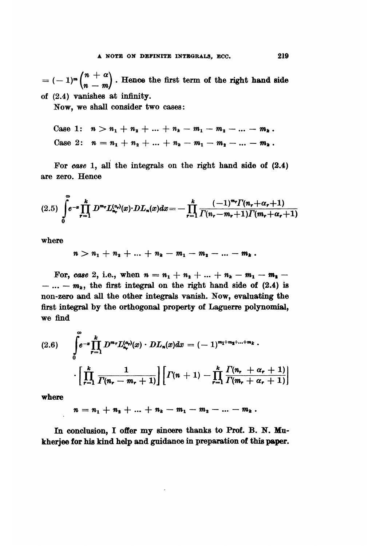$= (-1)^m \binom{n+\alpha}{n-m}$ . Hence the first term of the right hand side of (2.4) vanishes at infinity.

Now, we shall consider two cases:

Case 1: 
$$
n > n_1 + n_2 + ... + n_k - m_1 - m_2 - ... - m_k
$$
.  
Case 2:  $n = n_1 + n_2 + ... + n_k - m_1 - m_2 - ... - m_k$ .

For case 1, all the integrals on the right hand side of (2.4) are zero. Hence

$$
(2.5)\ \int_{0}^{\infty} e^{-x} \prod_{r=1}^{k} D^{m_r} L_{n_r}^{(\alpha_r)}(x) \cdot DL_n(x) dx = -\prod_{r=1}^{k} \frac{(-1)^{m_r} \Gamma(n_r + \alpha_r + 1)}{\Gamma(n_r - m_r + 1) \Gamma(m_r + \alpha_r + 1)}
$$

where

$$
n > n_1 + n_2 + \ldots + n_k - m_1 - m_2 - \ldots - m_k.
$$

For, case 2, i.e., when  $n = n_1 + n_2 + ... + n_k - m_1 - m_2 - ...$  $- ... - m_k$ , the first integral on the right hand side of (2.4) is non-zero and all the other integrals vanish. Now, evaluating the first integral by the orthogonal property of Laguerre polynomial, we find

where

 $n = n_1 + n_2 + \ldots + n_k - m_1 - m_2 - \ldots - m_k$ .

In conclusion, I offer my sincere thanks to Prof. B. N. Mukherjee for his kind help and guidance in preparation of this paper.